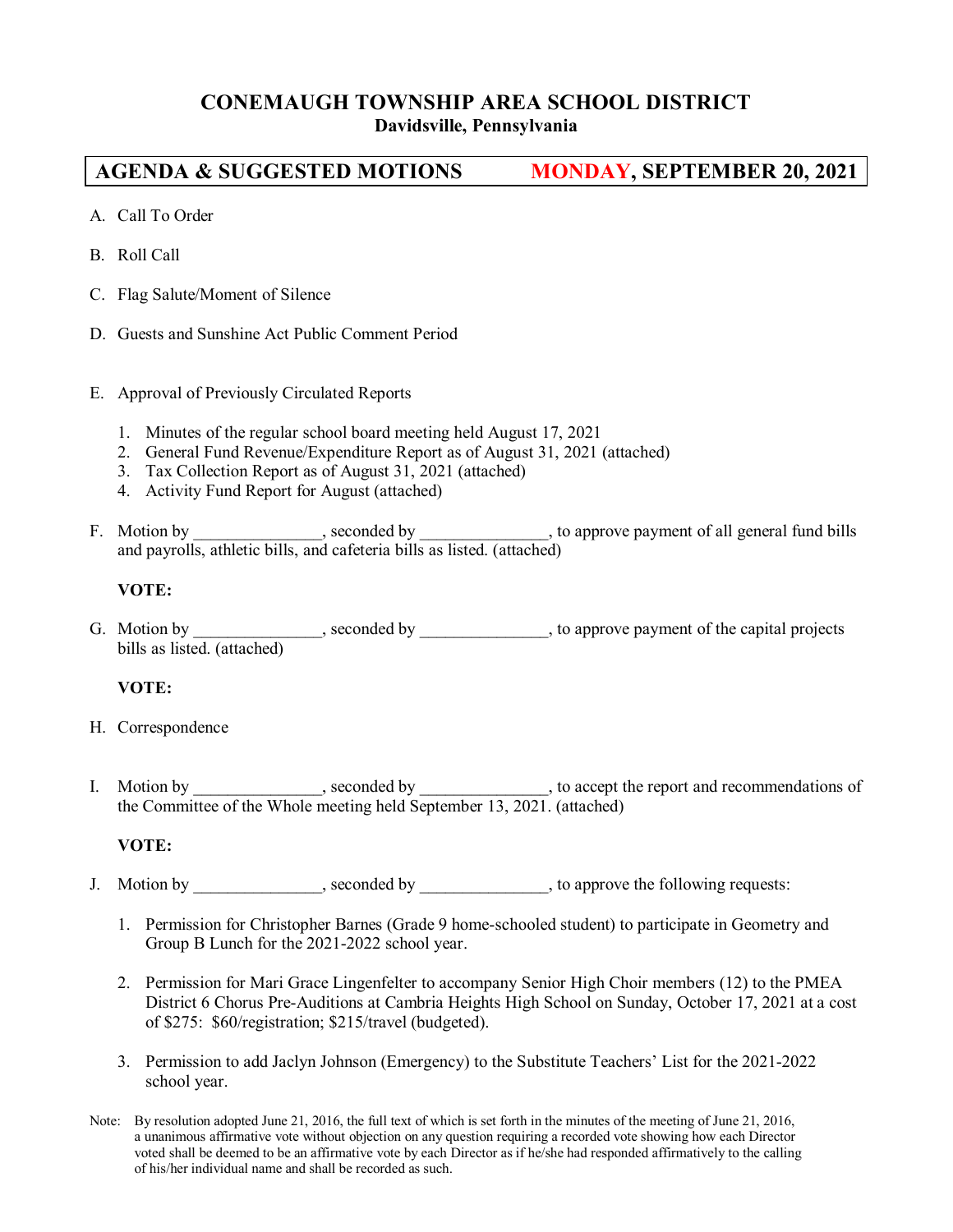# **CONEMAUGH TOWNSHIP AREA SCHOOL DISTRICT**

# **Davidsville, Pennsylvania**

# **AGENDA & SUGGESTED MOTIONS MONDAY, SEPTEMBER 20, 2021**

- A. Call To Order
- B. Roll Call
- C. Flag Salute/Moment of Silence
- D. Guests and Sunshine Act Public Comment Period
- E. Approval of Previously Circulated Reports
	- 1. Minutes of the regular school board meeting held August 17, 2021
	- 2. General Fund Revenue/Expenditure Report as of August 31, 2021 (attached)
	- 3. Tax Collection Report as of August 31, 2021 (attached)
	- 4. Activity Fund Report for August (attached)
- F. Motion by \_\_\_\_\_\_\_\_\_\_\_\_\_\_, seconded by \_\_\_\_\_\_\_\_\_\_\_\_\_\_, to approve payment of all general fund bills and payrolls, athletic bills, and cafeteria bills as listed. (attached)

# **VOTE:**

G. Motion by \_\_\_\_\_\_\_\_\_\_\_\_\_, seconded by \_\_\_\_\_\_\_\_\_\_\_\_\_, to approve payment of the capital projects bills as listed. (attached)

# **VOTE:**

- H. Correspondence
- I. Motion by \_\_\_\_\_\_\_\_\_\_\_, seconded by \_\_\_\_\_\_\_\_\_, to accept the report and recommendations of the Committee of the Whole meeting held September 13, 2021. (attached)

#### **VOTE:**

- J. Motion by seconded by seconded by to approve the following requests:
	- 1. Permission for Christopher Barnes (Grade 9 home-schooled student) to participate in Geometry and Group B Lunch for the 2021-2022 school year.
	- 2. Permission for Mari Grace Lingenfelter to accompany Senior High Choir members (12) to the PMEA District 6 Chorus Pre-Auditions at Cambria Heights High School on Sunday, October 17, 2021 at a cost of \$275: \$60/registration; \$215/travel (budgeted).
	- 3. Permission to add Jaclyn Johnson (Emergency) to the Substitute Teachers' List for the 2021-2022 school year.
- Note: By resolution adopted June 21, 2016, the full text of which is set forth in the minutes of the meeting of June 21, 2016, a unanimous affirmative vote without objection on any question requiring a recorded vote showing how each Director voted shall be deemed to be an affirmative vote by each Director as if he/she had responded affirmatively to the calling of his/her individual name and shall be recorded as such.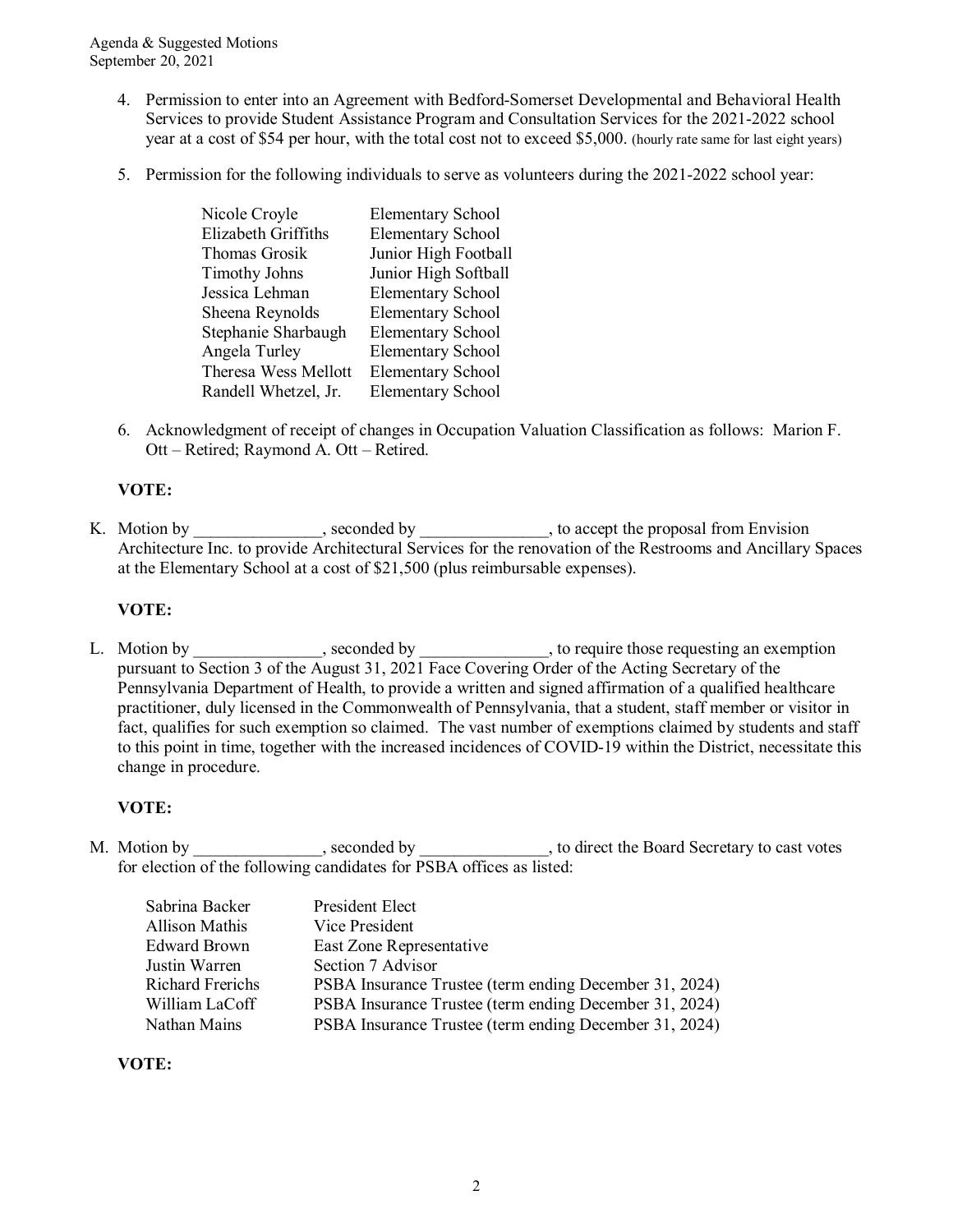Agenda & Suggested Motions September 20, 2021

- 4. Permission to enter into an Agreement with Bedford-Somerset Developmental and Behavioral Health Services to provide Student Assistance Program and Consultation Services for the 2021-2022 school year at a cost of \$54 per hour, with the total cost not to exceed \$5,000. (hourly rate same for last eight years)
- 5. Permission for the following individuals to serve as volunteers during the 2021-2022 school year:

| <b>Elementary School</b> |
|--------------------------|
| <b>Elementary School</b> |
| Junior High Football     |
| Junior High Softball     |
| <b>Elementary School</b> |
| <b>Elementary School</b> |
| <b>Elementary School</b> |
| <b>Elementary School</b> |
| <b>Elementary School</b> |
| <b>Elementary School</b> |
|                          |

6. Acknowledgment of receipt of changes in Occupation Valuation Classification as follows: Marion F. Ott – Retired; Raymond A. Ott – Retired.

#### **VOTE:**

K. Motion by \_\_\_\_\_\_\_\_\_\_\_, seconded by \_\_\_\_\_\_\_\_\_, to accept the proposal from Envision Architecture Inc. to provide Architectural Services for the renovation of the Restrooms and Ancillary Spaces at the Elementary School at a cost of \$21,500 (plus reimbursable expenses).

#### **VOTE:**

L. Motion by \_\_\_\_\_\_\_\_\_\_\_\_, seconded by \_\_\_\_\_\_\_\_\_\_\_\_, to require those requesting an exemption pursuant to Section 3 of the August 31, 2021 Face Covering Order of the Acting Secretary of the Pennsylvania Department of Health, to provide a written and signed affirmation of a qualified healthcare practitioner, duly licensed in the Commonwealth of Pennsylvania, that a student, staff member or visitor in fact, qualifies for such exemption so claimed. The vast number of exemptions claimed by students and staff to this point in time, together with the increased incidences of COVID-19 within the District, necessitate this change in procedure.

# **VOTE:**

M. Motion by example by seconded by the second by the Board Secretary to cast votes for election of the following candidates for PSBA offices as listed:

| Sabrina Backer        | President Elect                                        |
|-----------------------|--------------------------------------------------------|
| <b>Allison Mathis</b> | Vice President                                         |
| Edward Brown          | East Zone Representative                               |
| Justin Warren         | Section 7 Advisor                                      |
| Richard Frerichs      | PSBA Insurance Trustee (term ending December 31, 2024) |
| William LaCoff        | PSBA Insurance Trustee (term ending December 31, 2024) |
| Nathan Mains          | PSBA Insurance Trustee (term ending December 31, 2024) |

# **VOTE:**